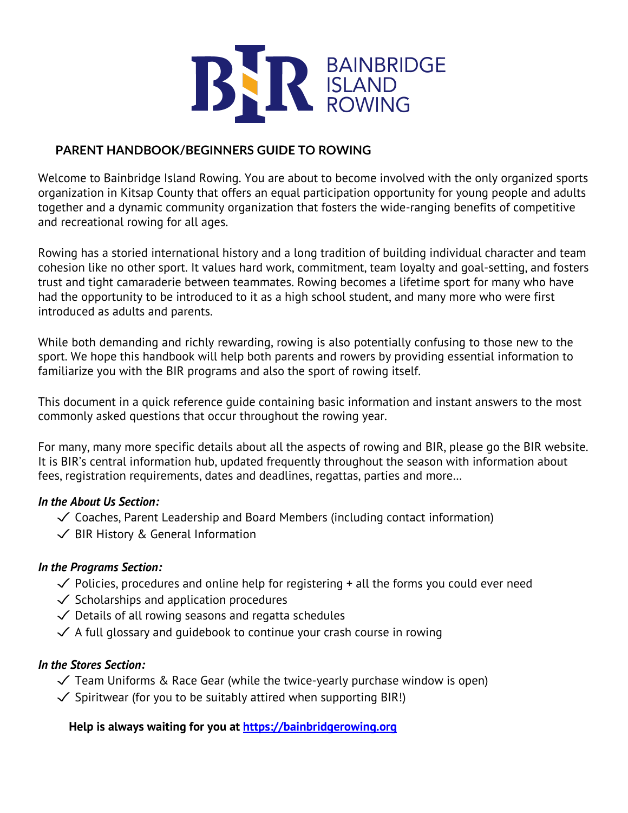

## **PARENT HANDBOOK/BEGINNERS GUIDE TO ROWING**

Welcome to Bainbridge Island Rowing. You are about to become involved with the only organized sports organization in Kitsap County that offers an equal participation opportunity for young people and adults together and a dynamic community organization that fosters the wide-ranging benefits of competitive and recreational rowing for all ages.

Rowing has a storied international history and a long tradition of building individual character and team cohesion like no other sport. It values hard work, commitment, team loyalty and goal-setting, and fosters trust and tight camaraderie between teammates. Rowing becomes a lifetime sport for many who have had the opportunity to be introduced to it as a high school student, and many more who were first introduced as adults and parents.

While both demanding and richly rewarding, rowing is also potentially confusing to those new to the sport. We hope this handbook will help both parents and rowers by providing essential information to familiarize you with the BIR programs and also the sport of rowing itself.

This document in a quick reference guide containing basic information and instant answers to the most commonly asked questions that occur throughout the rowing year.

For many, many more specific details about all the aspects of rowing and BIR, please go the BIR website. It is BIR's central information hub, updated frequently throughout the season with information about fees, registration requirements, dates and deadlines, regattas, parties and more…

#### *In the About Us Section:*

- $\checkmark$  Coaches, Parent Leadership and Board Members (including contact information)
- ✓ BIR History & General Information

## *In the Programs Section:*

- $\checkmark$  Policies, procedures and online help for registering + all the forms you could ever need
- $\checkmark$  Scholarships and application procedures
- $\checkmark$  Details of all rowing seasons and regatta schedules
- $\checkmark$  A full glossary and guidebook to continue your crash course in rowing

## *In the Stores Section:*

- $\checkmark$  Team Uniforms & Race Gear (while the twice-yearly purchase window is open)
- $\checkmark$  Spiritwear (for you to be suitably attired when supporting BIR!)

**Help is always waiting for you at https://bainbridgerowing.org**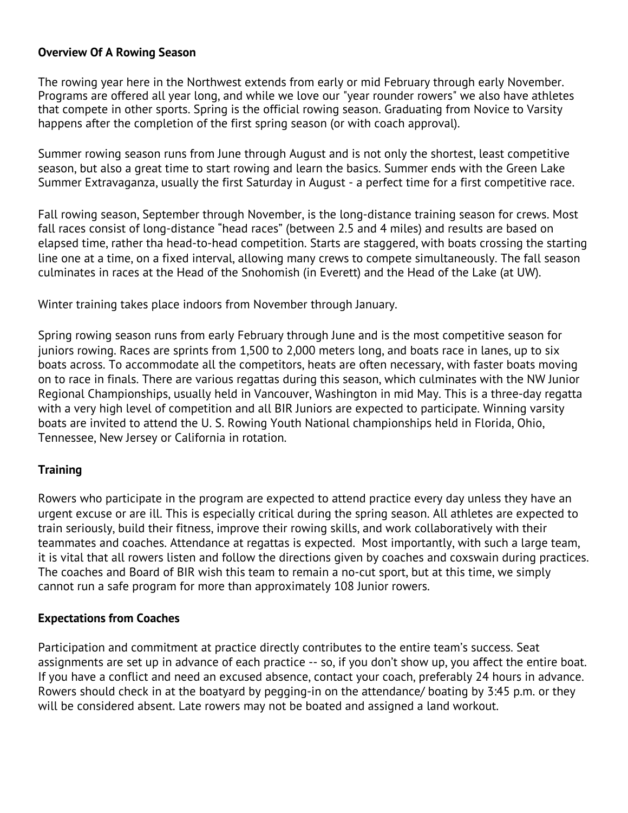#### **Overview Of A Rowing Season**

The rowing year here in the Northwest extends from early or mid February through early November. Programs are offered all year long, and while we love our "year rounder rowers" we also have athletes that compete in other sports. Spring is the official rowing season. Graduating from Novice to Varsity happens after the completion of the first spring season (or with coach approval).

Summer rowing season runs from June through August and is not only the shortest, least competitive season, but also a great time to start rowing and learn the basics. Summer ends with the Green Lake Summer Extravaganza, usually the first Saturday in August - a perfect time for a first competitive race.

Fall rowing season, September through November, is the long-distance training season for crews. Most fall races consist of long-distance "head races" (between 2.5 and 4 miles) and results are based on elapsed time, rather tha head-to-head competition. Starts are staggered, with boats crossing the starting line one at a time, on a fixed interval, allowing many crews to compete simultaneously. The fall season culminates in races at the Head of the Snohomish (in Everett) and the Head of the Lake (at UW).

Winter training takes place indoors from November through January.

Spring rowing season runs from early February through June and is the most competitive season for juniors rowing. Races are sprints from 1,500 to 2,000 meters long, and boats race in lanes, up to six boats across. To accommodate all the competitors, heats are often necessary, with faster boats moving on to race in finals. There are various regattas during this season, which culminates with the NW Junior Regional Championships, usually held in Vancouver, Washington in mid May. This is a three-day regatta with a very high level of competition and all BIR Juniors are expected to participate. Winning varsity boats are invited to attend the U. S. Rowing Youth National championships held in Florida, Ohio, Tennessee, New Jersey or California in rotation.

## **Training**

Rowers who participate in the program are expected to attend practice every day unless they have an urgent excuse or are ill. This is especially critical during the spring season. All athletes are expected to train seriously, build their fitness, improve their rowing skills, and work collaboratively with their teammates and coaches. Attendance at regattas is expected. Most importantly, with such a large team, it is vital that all rowers listen and follow the directions given by coaches and coxswain during practices. The coaches and Board of BIR wish this team to remain a no-cut sport, but at this time, we simply cannot run a safe program for more than approximately 108 Junior rowers.

## **Expectations from Coaches**

Participation and commitment at practice directly contributes to the entire team's success. Seat assignments are set up in advance of each practice -- so, if you don't show up, you affect the entire boat. If you have a conflict and need an excused absence, contact your coach, preferably 24 hours in advance. Rowers should check in at the boatyard by pegging-in on the attendance/ boating by 3:45 p.m. or they will be considered absent. Late rowers may not be boated and assigned a land workout.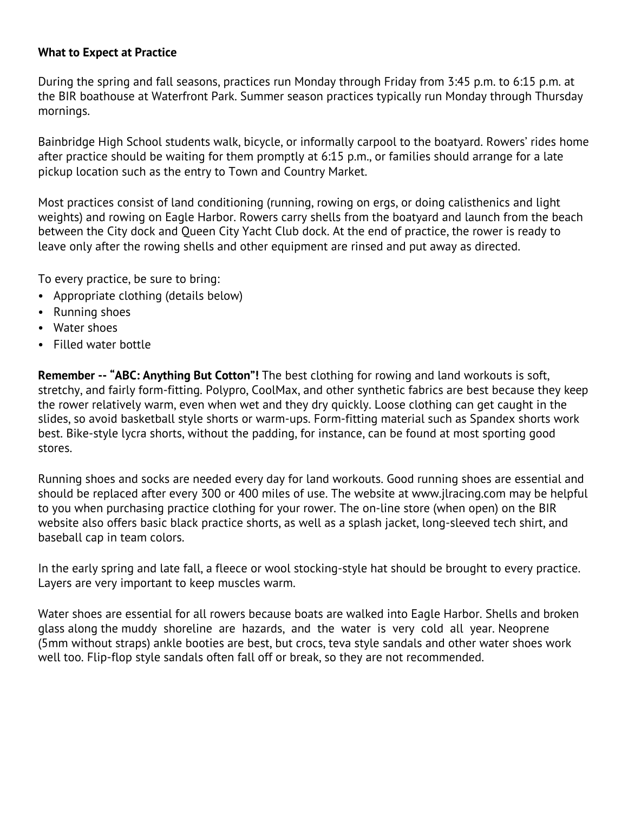#### **What to Expect at Practice**

During the spring and fall seasons, practices run Monday through Friday from 3:45 p.m. to 6:15 p.m. at the BIR boathouse at Waterfront Park. Summer season practices typically run Monday through Thursday mornings.

Bainbridge High School students walk, bicycle, or informally carpool to the boatyard. Rowers' rides home after practice should be waiting for them promptly at 6:15 p.m., or families should arrange for a late pickup location such as the entry to Town and Country Market.

Most practices consist of land conditioning (running, rowing on ergs, or doing calisthenics and light weights) and rowing on Eagle Harbor. Rowers carry shells from the boatyard and launch from the beach between the City dock and Queen City Yacht Club dock. At the end of practice, the rower is ready to leave only after the rowing shells and other equipment are rinsed and put away as directed.

To every practice, be sure to bring:

- Appropriate clothing (details below)
- Running shoes
- Water shoes
- Filled water bottle

**Remember -- "ABC: Anything But Cotton"!** The best clothing for rowing and land workouts is soft, stretchy, and fairly form-fitting. Polypro, CoolMax, and other synthetic fabrics are best because they keep the rower relatively warm, even when wet and they dry quickly. Loose clothing can get caught in the slides, so avoid basketball style shorts or warm-ups. Form-fitting material such as Spandex shorts work best. Bike-style lycra shorts, without the padding, for instance, can be found at most sporting good stores.

Running shoes and socks are needed every day for land workouts. Good running shoes are essential and should be replaced after every 300 or 400 miles of use. The website at www.jlracing.com may be helpful to you when purchasing practice clothing for your rower. The on-line store (when open) on the BIR website also offers basic black practice shorts, as well as a splash jacket, long-sleeved tech shirt, and baseball cap in team colors.

In the early spring and late fall, a fleece or wool stocking-style hat should be brought to every practice. Layers are very important to keep muscles warm.

Water shoes are essential for all rowers because boats are walked into Eagle Harbor. Shells and broken glass along the muddy shoreline are hazards, and the water is very cold all year. Neoprene (5mm without straps) ankle booties are best, but crocs, teva style sandals and other water shoes work well too. Flip-flop style sandals often fall off or break, so they are not recommended.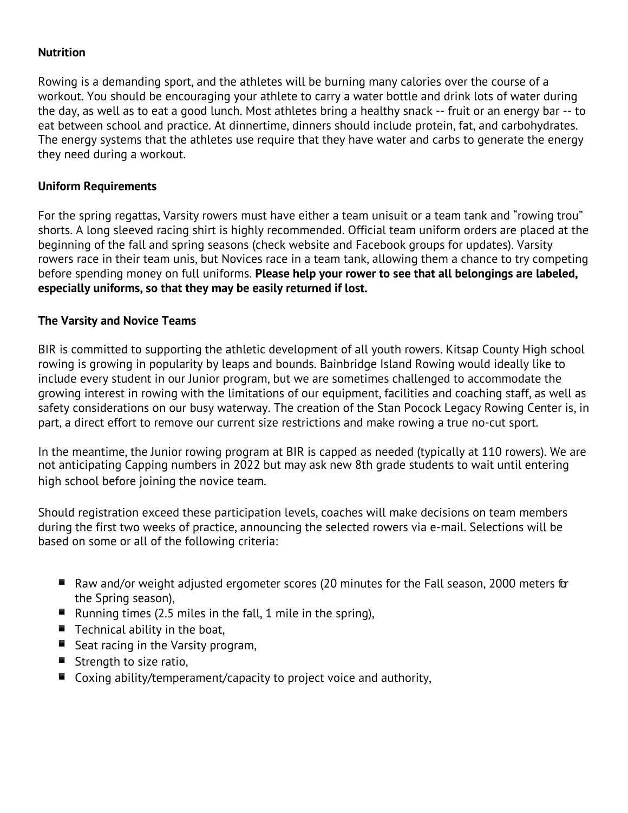## **Nutrition**

Rowing is a demanding sport, and the athletes will be burning many calories over the course of a workout. You should be encouraging your athlete to carry a water bottle and drink lots of water during the day, as well as to eat a good lunch. Most athletes bring a healthy snack -- fruit or an energy bar -- to eat between school and practice. At dinnertime, dinners should include protein, fat, and carbohydrates. The energy systems that the athletes use require that they have water and carbs to generate the energy they need during a workout.

## **Uniform Requirements**

For the spring regattas, Varsity rowers must have either a team unisuit or a team tank and "rowing trou" shorts. A long sleeved racing shirt is highly recommended. Official team uniform orders are placed at the beginning of the fall and spring seasons (check website and Facebook groups for updates). Varsity rowers race in their team unis, but Novices race in a team tank, allowing them a chance to try competing before spending money on full uniforms. **Please help your rower to see that all belongings are labeled, especially uniforms, so that they may be easily returned if lost.**

# **The Varsity and Novice Teams**

BIR is committed to supporting the athletic development of all youth rowers. Kitsap County High school rowing is growing in popularity by leaps and bounds. Bainbridge Island Rowing would ideally like to include every student in our Junior program, but we are sometimes challenged to accommodate the growing interest in rowing with the limitations of our equipment, facilities and coaching staff, as well as safety considerations on our busy waterway. The creation of the Stan Pocock Legacy Rowing Center is, in part, a direct effort to remove our current size restrictions and make rowing a true no-cut sport.

In the meantime, the Junior rowing program at BIR is capped as needed (typically at 110 rowers). We are not anticipating Capping numbers in 2022 but may ask new 8th grade students to wait until entering high school before joining the novice team.

Should registration exceed these participation levels, coaches will make decisions on team members during the first two weeks of practice, announcing the selected rowers via e-mail. Selections will be based on some or all of the following criteria:

- $\blacksquare$  Raw and/or weight adjusted ergometer scores (20 minutes for the Fall season, 2000 meters for the Spring season),
- **E** Running times (2.5 miles in the fall, 1 mile in the spring),
- $\blacksquare$  Technical ability in the boat,
- Seat racing in the Varsity program,
- **E** Strength to size ratio,
- $\blacksquare$  Coxing ability/temperament/capacity to project voice and authority,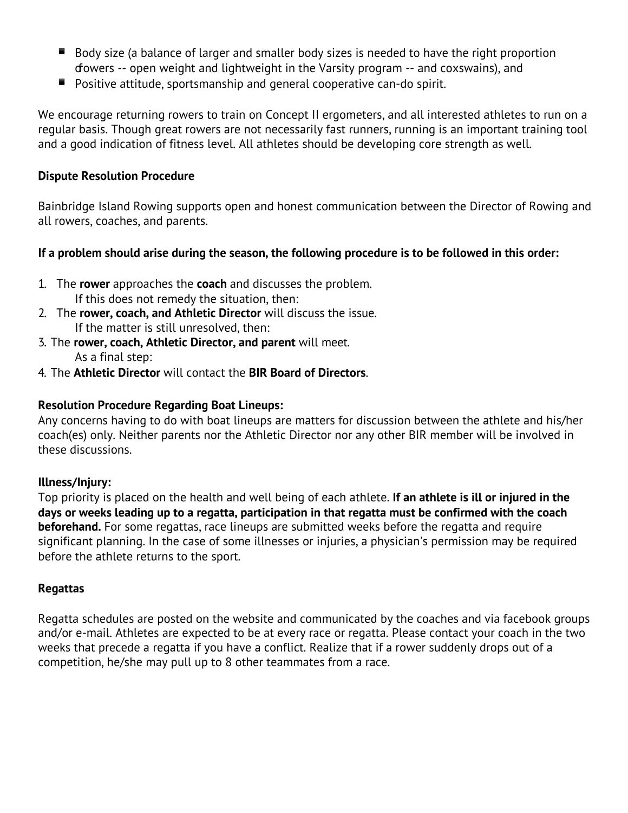- $\blacksquare$  Body size (a balance of larger and smaller body sizes is needed to have the right proportion of owers -- open weight and lightweight in the Varsity program -- and coxswains), and
- Positive attitude, sportsmanship and general cooperative can-do spirit.

We encourage returning rowers to train on Concept II ergometers, and all interested athletes to run on a regular basis. Though great rowers are not necessarily fast runners, running is an important training tool and a good indication of fitness level. All athletes should be developing core strength as well.

#### **Dispute Resolution Procedure**

Bainbridge Island Rowing supports open and honest communication between the Director of Rowing and all rowers, coaches, and parents.

## **If a problem should arise during the season, the following procedure is to be followed in this order:**

- 1. The **rower** approaches the **coach** and discusses the problem. If this does not remedy the situation, then:
- 2. The **rower, coach, and Athletic Director** will discuss the issue. If the matter is still unresolved, then:
- 3. The **rower, coach, Athletic Director, and parent** will meet. As a final step:
- 4. The **Athletic Director** will contact the **BIR Board of Directors**.

#### **Resolution Procedure Regarding Boat Lineups:**

Any concerns having to do with boat lineups are matters for discussion between the athlete and his/her coach(es) only. Neither parents nor the Athletic Director nor any other BIR member will be involved in these discussions.

## **Illness/Injury:**

Top priority is placed on the health and well being of each athlete. **If an athlete is ill or injured in the days or weeks leading up to a regatta, participation in that regatta must be confirmed with the coach beforehand.** For some regattas, race lineups are submitted weeks before the regatta and require significant planning. In the case of some illnesses or injuries, a physician's permission may be required before the athlete returns to the sport.

#### **Regattas**

Regatta schedules are posted on the website and communicated by the coaches and via facebook groups and/or e-mail. Athletes are expected to be at every race or regatta. Please contact your coach in the two weeks that precede a regatta if you have a conflict. Realize that if a rower suddenly drops out of a competition, he/she may pull up to 8 other teammates from a race.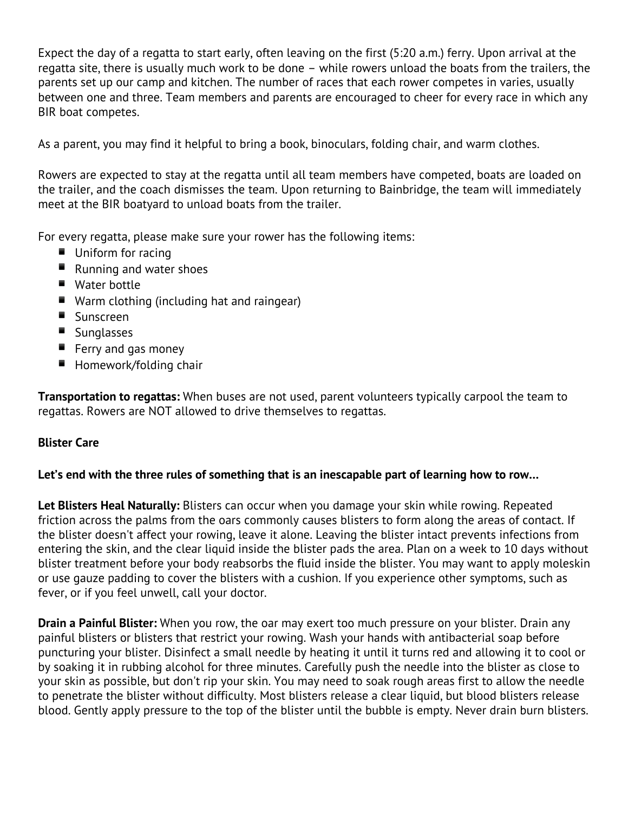Expect the day of a regatta to start early, often leaving on the first (5:20 a.m.) ferry. Upon arrival at the regatta site, there is usually much work to be done – while rowers unload the boats from the trailers, the parents set up our camp and kitchen. The number of races that each rower competes in varies, usually between one and three. Team members and parents are encouraged to cheer for every race in which any BIR boat competes.

As a parent, you may find it helpful to bring a book, binoculars, folding chair, and warm clothes.

Rowers are expected to stay at the regatta until all team members have competed, boats are loaded on the trailer, and the coach dismisses the team. Upon returning to Bainbridge, the team will immediately meet at the BIR boatyard to unload boats from the trailer.

For every regatta, please make sure your rower has the following items:

- **Uniform for racing**
- Running and water shoes
- Water bottle
- Warm clothing (including hat and raingear)
- Sunscreen
- Sunglasses
- $\blacksquare$  Ferry and gas money
- Homework/folding chair

**Transportation to regattas:** When buses are not used, parent volunteers typically carpool the team to regattas. Rowers are NOT allowed to drive themselves to regattas.

## **Blister Care**

## **Let's end with the three rules of something that is an inescapable part of learning how to row…**

**Let Blisters Heal Naturally:** Blisters can occur when you damage your skin while rowing. Repeated friction across the palms from the oars commonly causes blisters to form along the areas of contact. If the blister doesn't affect your rowing, leave it alone. Leaving the blister intact prevents infections from entering the skin, and the clear liquid inside the blister pads the area. Plan on a week to 10 days without blister treatment before your body reabsorbs the fluid inside the blister. You may want to apply moleskin or use gauze padding to cover the blisters with a cushion. If you experience other symptoms, such as fever, or if you feel unwell, call your doctor.

**Drain a Painful Blister:** When you row, the oar may exert too much pressure on your blister. Drain any painful blisters or blisters that restrict your rowing. Wash your hands with antibacterial soap before puncturing your blister. Disinfect a small needle by heating it until it turns red and allowing it to cool or by soaking it in rubbing alcohol for three minutes. Carefully push the needle into the blister as close to your skin as possible, but don't rip your skin. You may need to soak rough areas first to allow the needle to penetrate the blister without difficulty. Most blisters release a clear liquid, but blood blisters release blood. Gently apply pressure to the top of the blister until the bubble is empty. Never drain burn blisters.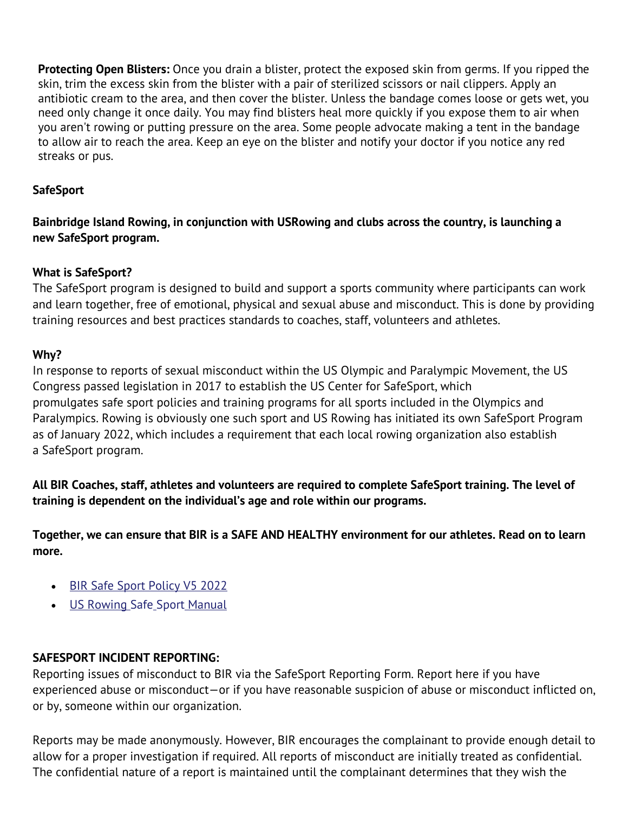**Protecting Open Blisters:** Once you drain a blister, protect the exposed skin from germs. If you ripped the skin, trim the excess skin from the blister with a pair of sterilized scissors or nail clippers. Apply an antibiotic cream to the area, and then cover the blister. Unless the bandage comes loose or gets wet, you need only change it once daily. You may find blisters heal more quickly if you expose them to air when you aren't rowing or putting pressure on the area. Some people advocate making a tent in the bandage to allow air to reach the area. Keep an eye on the blister and notify your doctor if you notice any red streaks or pus.

# **SafeSport**

**Bainbridge Island Rowing, in conjunction with USRowing and clubs across the country, is launching a new SafeSport program.**

## **What is SafeSport?**

The SafeSport program is designed to build and support a sports community where participants can work and learn together, free of emotional, physical and sexual abuse and misconduct. This is done by providing training resources and best practices standards to coaches, staff, volunteers and athletes.

# **Why?**

In response to reports of sexual misconduct within the US Olympic and Paralympic Movement, the US Congress passed legislation in 2017 to establish the US Center for SafeSport, which promulgates safe sport policies and training programs for all sports included in the Olympics and Paralympics. Rowing is obviously one such sport and US Rowing has initiated its own SafeSport Program as of January 2022, which includes a requirement that each local rowing organization also establish a SafeSport program.

**All BIR Coaches, staff, athletes and volunteers are required to complete SafeSport training. The level of training is dependent on the individual's age and role within our programs.**

**Together, we can ensure that BIR is a SAFE AND HEALTHY environment for our athletes. Read on to learn more.**

- BIR Safe Sport Policy V5 2022
- US Rowing Safe Sport Manual

# **SAFESPORT INCIDENT REPORTING:**

Reporting issues of misconduct to BIR via the SafeSport Reporting Form. Report here if you have experienced abuse or misconduct—or if you have reasonable suspicion of abuse or misconduct inflicted on, or by, someone within our organization.

Reports may be made anonymously. However, BIR encourages the complainant to provide enough detail to allow for a proper investigation if required. All reports of misconduct are initially treated as confidential. The confidential nature of a report is maintained until the complainant determines that they wish the